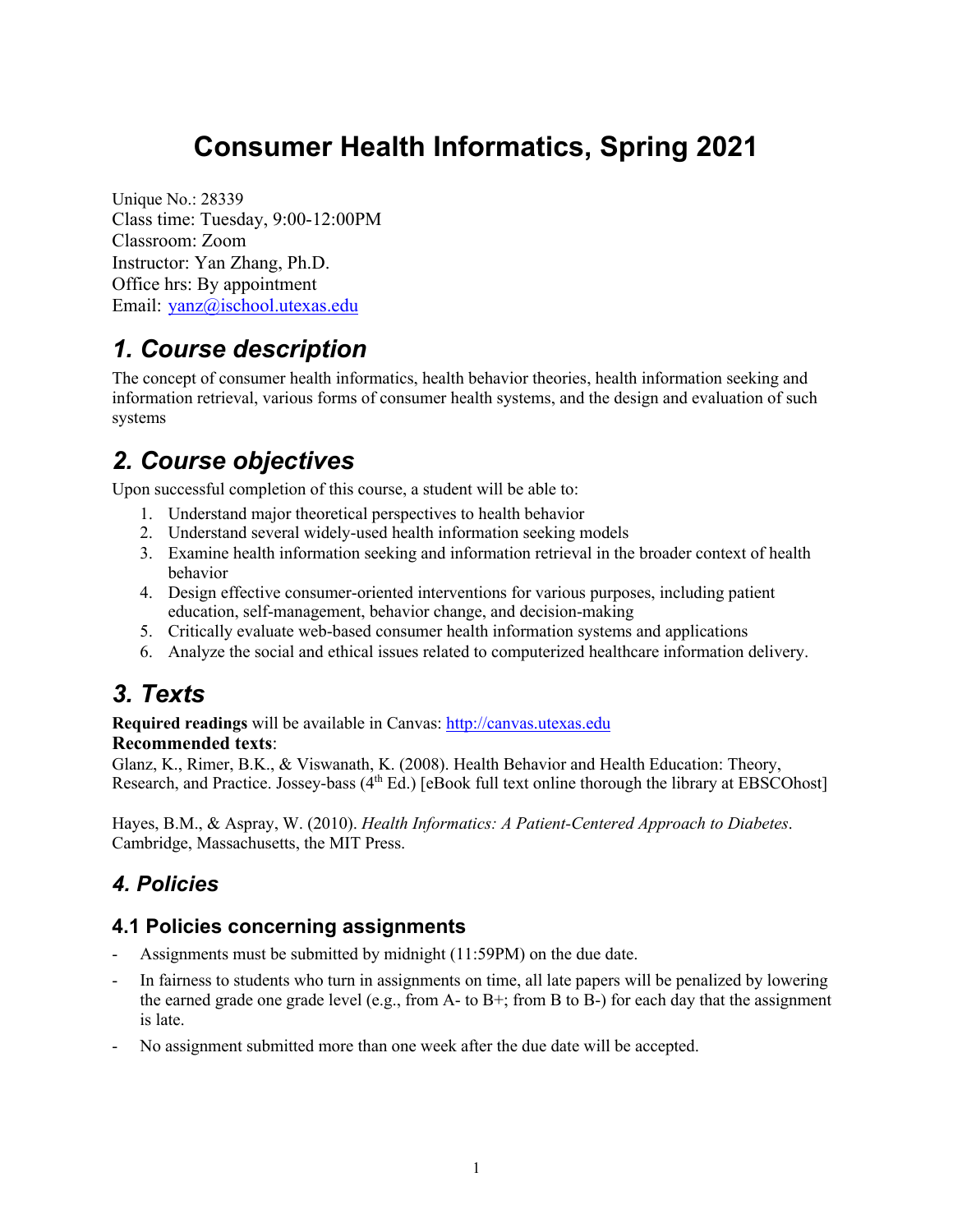# **Consumer Health Informatics, Spring 2021**

Unique No.: 28339 Class time: Tuesday, 9:00-12:00PM Classroom: Zoom Instructor: Yan Zhang, Ph.D. Office hrs: By appointment Email: yanz@ischool.utexas.edu

# *1. Course description*

The concept of consumer health informatics, health behavior theories, health information seeking and information retrieval, various forms of consumer health systems, and the design and evaluation of such systems

# *2. Course objectives*

Upon successful completion of this course, a student will be able to:

- 1. Understand major theoretical perspectives to health behavior
- 2. Understand several widely-used health information seeking models
- 3. Examine health information seeking and information retrieval in the broader context of health behavior
- 4. Design effective consumer-oriented interventions for various purposes, including patient education, self-management, behavior change, and decision-making
- 5. Critically evaluate web-based consumer health information systems and applications
- 6. Analyze the social and ethical issues related to computerized healthcare information delivery.

# *3. Texts*

**Required readings** will be available in Canvas: http://canvas.utexas.edu **Recommended texts**:

Glanz, K., Rimer, B.K., & Viswanath, K. (2008). Health Behavior and Health Education: Theory, Research, and Practice. Jossey-bass (4<sup>th</sup> Ed.) [eBook full text online thorough the library at EBSCOhost]

Hayes, B.M., & Aspray, W. (2010). *Health Informatics: A Patient-Centered Approach to Diabetes*. Cambridge, Massachusetts, the MIT Press.

# *4. Policies*

# **4.1 Policies concerning assignments**

- Assignments must be submitted by midnight (11:59PM) on the due date.
- In fairness to students who turn in assignments on time, all late papers will be penalized by lowering the earned grade one grade level (e.g., from A- to B+; from B to B-) for each day that the assignment is late.
- No assignment submitted more than one week after the due date will be accepted.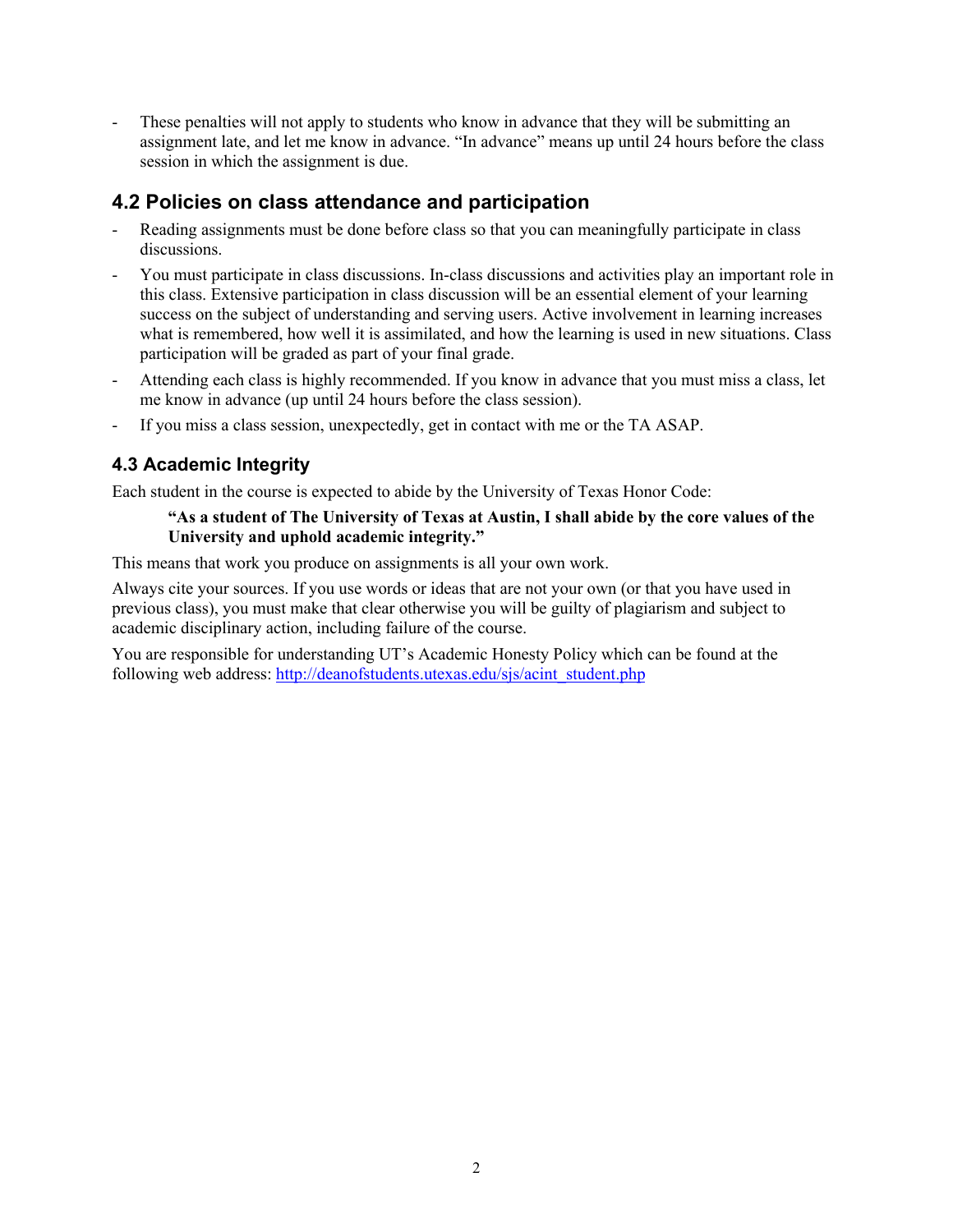These penalties will not apply to students who know in advance that they will be submitting an assignment late, and let me know in advance. "In advance" means up until 24 hours before the class session in which the assignment is due.

# **4.2 Policies on class attendance and participation**

- Reading assignments must be done before class so that you can meaningfully participate in class discussions.
- You must participate in class discussions. In-class discussions and activities play an important role in this class. Extensive participation in class discussion will be an essential element of your learning success on the subject of understanding and serving users. Active involvement in learning increases what is remembered, how well it is assimilated, and how the learning is used in new situations. Class participation will be graded as part of your final grade.
- Attending each class is highly recommended. If you know in advance that you must miss a class, let me know in advance (up until 24 hours before the class session).
- If you miss a class session, unexpectedly, get in contact with me or the TA ASAP.

# **4.3 Academic Integrity**

Each student in the course is expected to abide by the University of Texas Honor Code:

#### **"As a student of The University of Texas at Austin, I shall abide by the core values of the University and uphold academic integrity."**

This means that work you produce on assignments is all your own work.

Always cite your sources. If you use words or ideas that are not your own (or that you have used in previous class), you must make that clear otherwise you will be guilty of plagiarism and subject to academic disciplinary action, including failure of the course.

You are responsible for understanding UT's Academic Honesty Policy which can be found at the following web address: http://deanofstudents.utexas.edu/sjs/acint\_student.php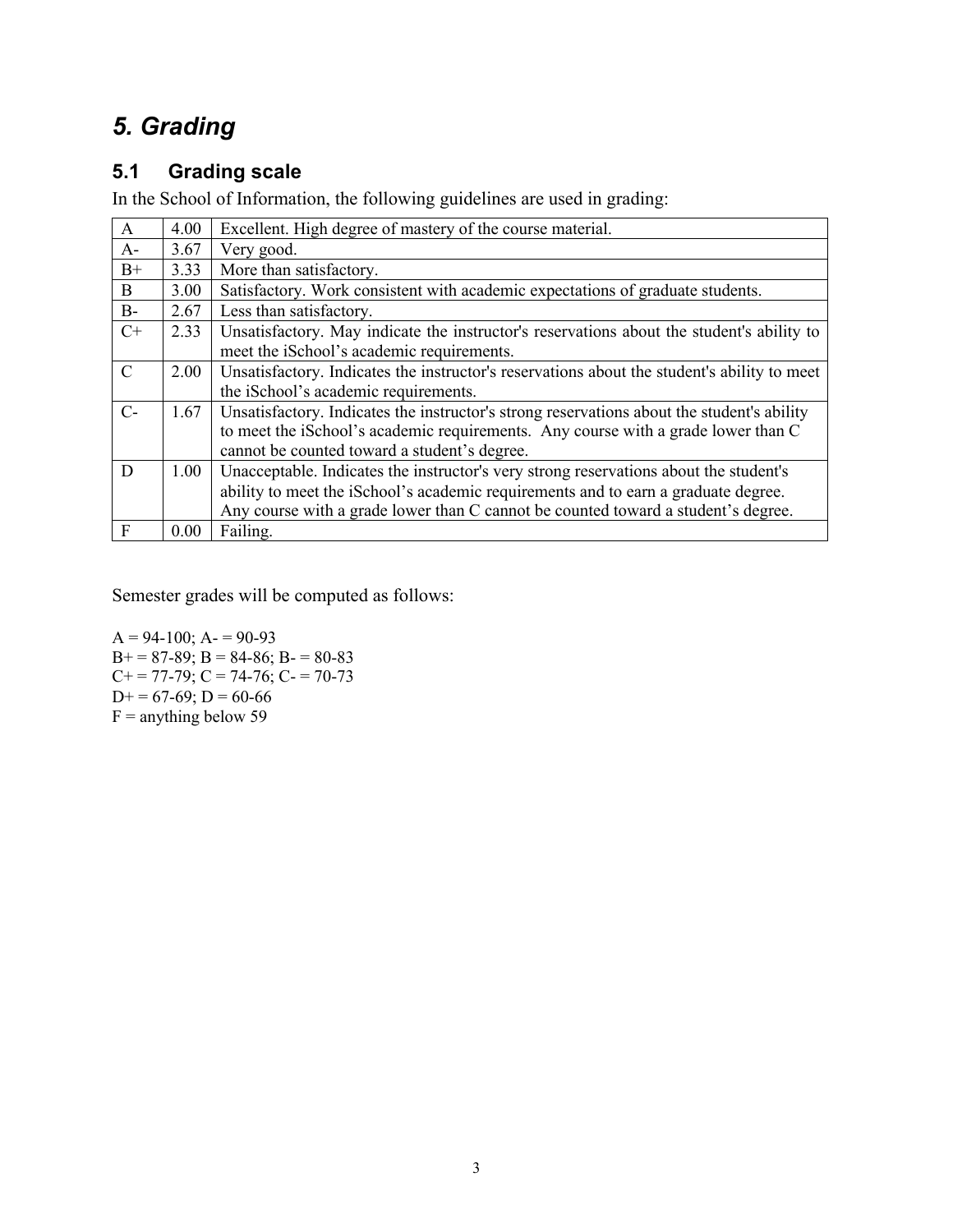# *5. Grading*

# **5.1 Grading scale**

In the School of Information, the following guidelines are used in grading:

| $\mathbf{A}$  | 4.00 | Excellent. High degree of mastery of the course material.                                   |  |  |
|---------------|------|---------------------------------------------------------------------------------------------|--|--|
| $A-$          | 3.67 | Very good.                                                                                  |  |  |
| $B+$          | 3.33 | More than satisfactory.                                                                     |  |  |
| B             | 3.00 | Satisfactory. Work consistent with academic expectations of graduate students.              |  |  |
| $B-$          | 2.67 | Less than satisfactory.                                                                     |  |  |
| $C+$          | 2.33 | Unsatisfactory. May indicate the instructor's reservations about the student's ability to   |  |  |
|               |      | meet the iSchool's academic requirements.                                                   |  |  |
| $\mathcal{C}$ | 2.00 | Unsatisfactory. Indicates the instructor's reservations about the student's ability to meet |  |  |
|               |      | the iSchool's academic requirements.                                                        |  |  |
| $C$ -         | 1.67 | Unsatisfactory. Indicates the instructor's strong reservations about the student's ability  |  |  |
|               |      | to meet the iSchool's academic requirements. Any course with a grade lower than C           |  |  |
|               |      | cannot be counted toward a student's degree.                                                |  |  |
| D             | 1.00 | Unacceptable. Indicates the instructor's very strong reservations about the student's       |  |  |
|               |      | ability to meet the iSchool's academic requirements and to earn a graduate degree.          |  |  |
|               |      | Any course with a grade lower than C cannot be counted toward a student's degree.           |  |  |
| F             | 0.00 | Failing.                                                                                    |  |  |

Semester grades will be computed as follows:

 $A = 94-100$ ;  $A = 90-93$  $B+=87-89$ ;  $B=84-86$ ;  $B-=80-83$  $C+= 77-79$ ;  $C = 74-76$ ;  $C = 70-73$  $D+= 67-69; D= 60-66$  $F =$  anything below 59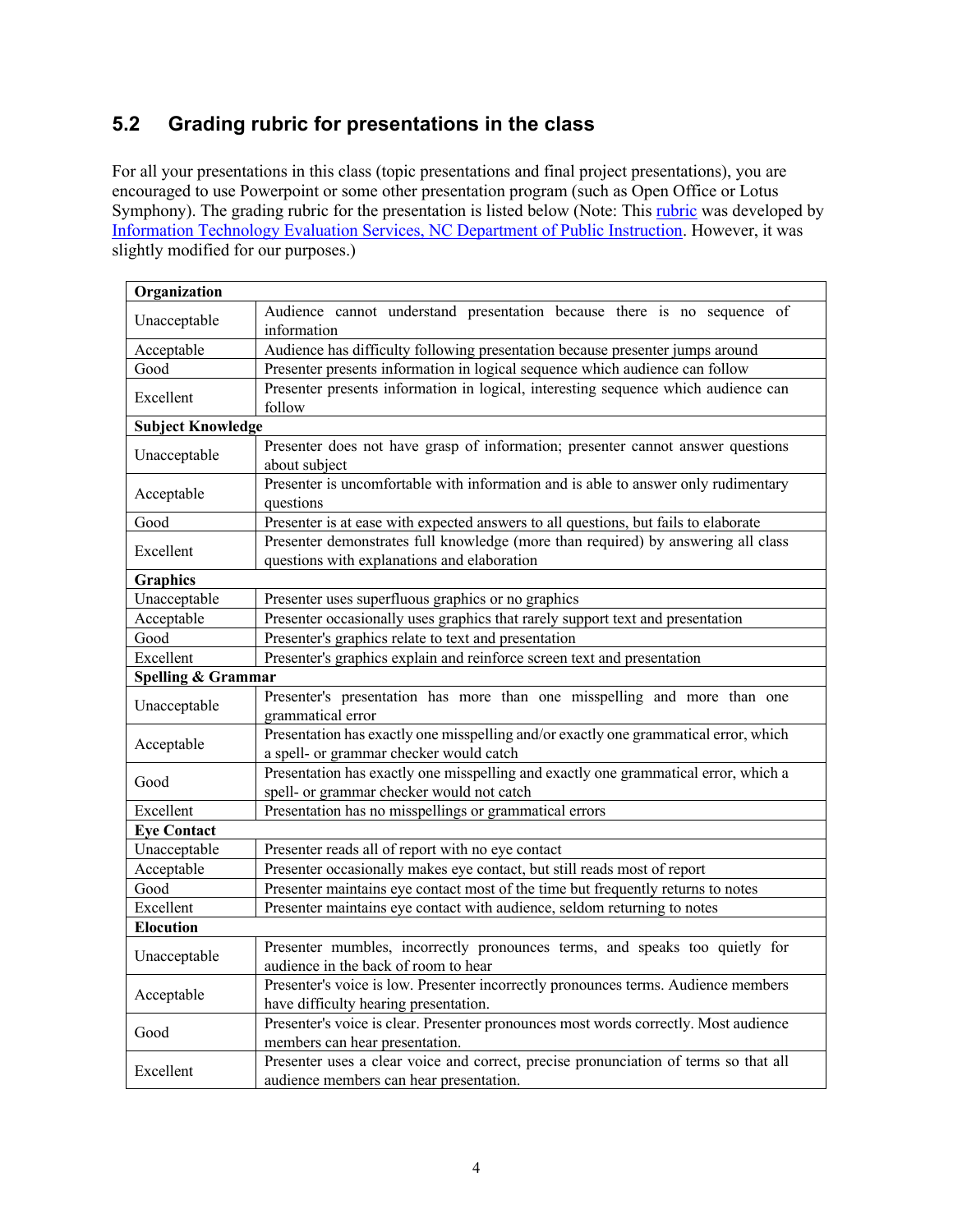# **5.2 Grading rubric for presentations in the class**

For all your presentations in this class (topic presentations and final project presentations), you are encouraged to use Powerpoint or some other presentation program (such as Open Office or Lotus Symphony). The grading rubric for the presentation is listed below (Note: This rubric was developed by Information Technology Evaluation Services, NC Department of Public Instruction. However, it was slightly modified for our purposes.)

| Organization                                                                             |                                                                                                                               |  |  |  |  |
|------------------------------------------------------------------------------------------|-------------------------------------------------------------------------------------------------------------------------------|--|--|--|--|
|                                                                                          | Audience cannot understand presentation because there is no sequence of                                                       |  |  |  |  |
| Unacceptable                                                                             | information                                                                                                                   |  |  |  |  |
| Acceptable                                                                               | Audience has difficulty following presentation because presenter jumps around                                                 |  |  |  |  |
| Good                                                                                     | Presenter presents information in logical sequence which audience can follow                                                  |  |  |  |  |
| Excellent                                                                                | Presenter presents information in logical, interesting sequence which audience can                                            |  |  |  |  |
|                                                                                          | follow                                                                                                                        |  |  |  |  |
| <b>Subject Knowledge</b>                                                                 |                                                                                                                               |  |  |  |  |
| Unacceptable                                                                             | Presenter does not have grasp of information; presenter cannot answer questions                                               |  |  |  |  |
|                                                                                          | about subject                                                                                                                 |  |  |  |  |
| Acceptable                                                                               | Presenter is uncomfortable with information and is able to answer only rudimentary                                            |  |  |  |  |
|                                                                                          | questions                                                                                                                     |  |  |  |  |
| Good                                                                                     | Presenter is at ease with expected answers to all questions, but fails to elaborate                                           |  |  |  |  |
| Excellent                                                                                | Presenter demonstrates full knowledge (more than required) by answering all class                                             |  |  |  |  |
|                                                                                          | questions with explanations and elaboration                                                                                   |  |  |  |  |
| <b>Graphics</b>                                                                          |                                                                                                                               |  |  |  |  |
| Unacceptable                                                                             | Presenter uses superfluous graphics or no graphics                                                                            |  |  |  |  |
| Acceptable                                                                               | Presenter occasionally uses graphics that rarely support text and presentation                                                |  |  |  |  |
| Presenter's graphics relate to text and presentation<br>Good                             |                                                                                                                               |  |  |  |  |
| Excellent                                                                                | Presenter's graphics explain and reinforce screen text and presentation                                                       |  |  |  |  |
| Spelling & Grammar                                                                       |                                                                                                                               |  |  |  |  |
| Unacceptable                                                                             | Presenter's presentation has more than one misspelling and more than one<br>grammatical error                                 |  |  |  |  |
|                                                                                          | Presentation has exactly one misspelling and/or exactly one grammatical error, which                                          |  |  |  |  |
| Acceptable                                                                               | a spell- or grammar checker would catch                                                                                       |  |  |  |  |
|                                                                                          | Presentation has exactly one misspelling and exactly one grammatical error, which a                                           |  |  |  |  |
| Good                                                                                     | spell- or grammar checker would not catch                                                                                     |  |  |  |  |
| Excellent                                                                                | Presentation has no misspellings or grammatical errors                                                                        |  |  |  |  |
| <b>Eye Contact</b>                                                                       |                                                                                                                               |  |  |  |  |
| Unacceptable<br>Presenter reads all of report with no eye contact                        |                                                                                                                               |  |  |  |  |
| Acceptable                                                                               | Presenter occasionally makes eye contact, but still reads most of report                                                      |  |  |  |  |
| Presenter maintains eye contact most of the time but frequently returns to notes<br>Good |                                                                                                                               |  |  |  |  |
| Excellent                                                                                | Presenter maintains eye contact with audience, seldom returning to notes                                                      |  |  |  |  |
| <b>Elocution</b>                                                                         |                                                                                                                               |  |  |  |  |
| Unacceptable                                                                             | Presenter mumbles, incorrectly pronounces terms, and speaks too quietly for<br>audience in the back of room to hear           |  |  |  |  |
|                                                                                          | Presenter's voice is low. Presenter incorrectly pronounces terms. Audience members                                            |  |  |  |  |
| Acceptable                                                                               |                                                                                                                               |  |  |  |  |
|                                                                                          | have difficulty hearing presentation.<br>Presenter's voice is clear. Presenter pronounces most words correctly. Most audience |  |  |  |  |
| Good                                                                                     | members can hear presentation.                                                                                                |  |  |  |  |
|                                                                                          | Presenter uses a clear voice and correct, precise pronunciation of terms so that all                                          |  |  |  |  |
| Excellent                                                                                | audience members can hear presentation.                                                                                       |  |  |  |  |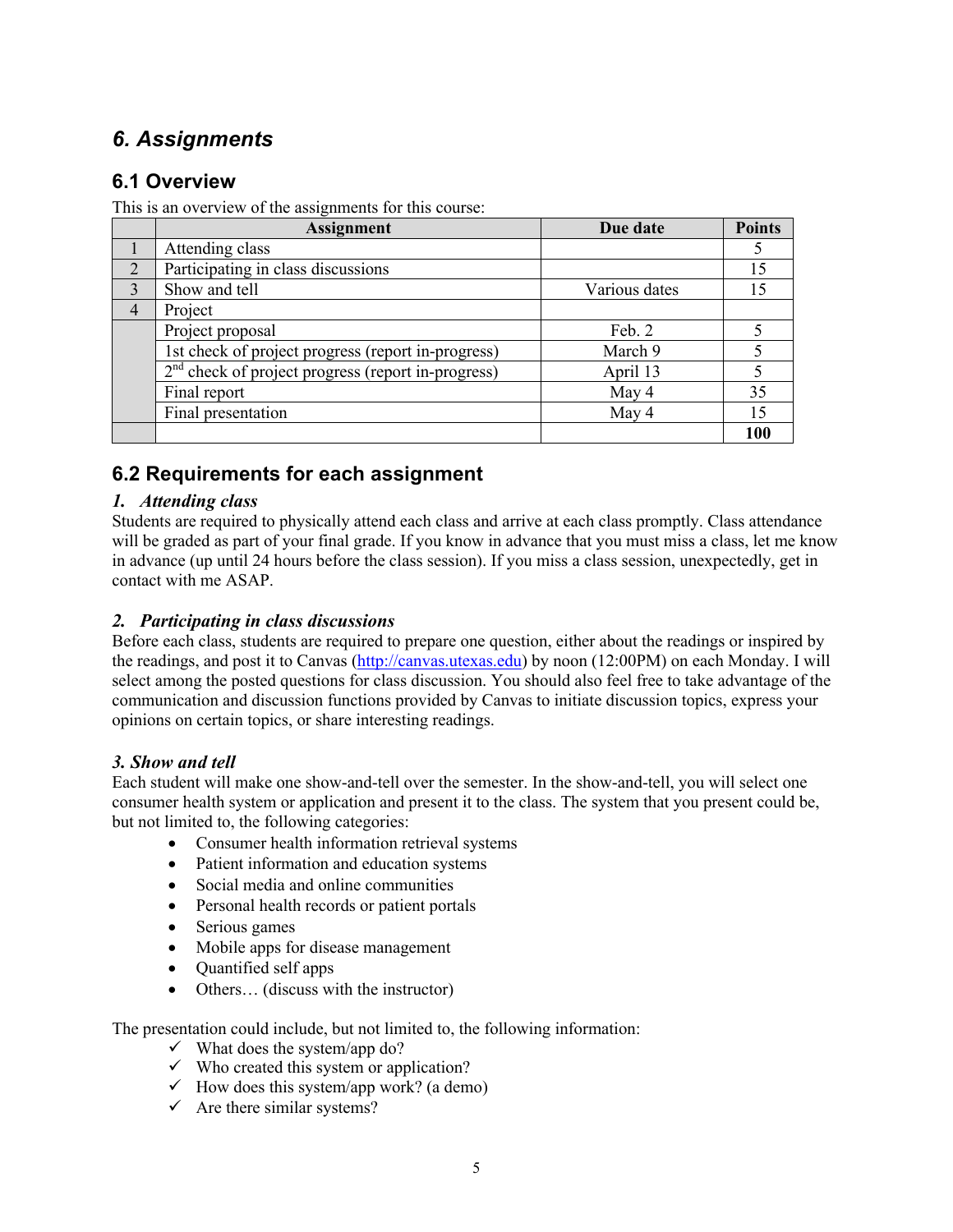# *6. Assignments*

# **6.1 Overview**

This is an overview of the assignments for this course:

|                | <b>Assignment</b>                                    | Due date      | <b>Points</b> |
|----------------|------------------------------------------------------|---------------|---------------|
|                | Attending class                                      |               |               |
| $\mathfrak{D}$ | Participating in class discussions                   |               |               |
| 3              | Show and tell                                        | Various dates |               |
| 4              | Project                                              |               |               |
|                | Project proposal                                     | Feb. 2        |               |
|                | 1st check of project progress (report in-progress)   | March 9       |               |
|                | $2nd$ check of project progress (report in-progress) | April 13      |               |
|                | Final report                                         | May 4         | 35            |
|                | Final presentation                                   | May 4         | 15            |
|                |                                                      |               | 100           |

# **6.2 Requirements for each assignment**

## *1. Attending class*

Students are required to physically attend each class and arrive at each class promptly. Class attendance will be graded as part of your final grade. If you know in advance that you must miss a class, let me know in advance (up until 24 hours before the class session). If you miss a class session, unexpectedly, get in contact with me ASAP.

## *2. Participating in class discussions*

Before each class, students are required to prepare one question, either about the readings or inspired by the readings, and post it to Canvas (http://canvas.utexas.edu) by noon (12:00PM) on each Monday. I will select among the posted questions for class discussion. You should also feel free to take advantage of the communication and discussion functions provided by Canvas to initiate discussion topics, express your opinions on certain topics, or share interesting readings.

## *3. Show and tell*

Each student will make one show-and-tell over the semester. In the show-and-tell, you will select one consumer health system or application and present it to the class. The system that you present could be, but not limited to, the following categories:

- Consumer health information retrieval systems
- Patient information and education systems
- Social media and online communities
- Personal health records or patient portals
- Serious games
- Mobile apps for disease management
- Quantified self apps
- Others... (discuss with the instructor)

The presentation could include, but not limited to, the following information:

- $\checkmark$  What does the system/app do?
- $\checkmark$  Who created this system or application?
- $\checkmark$  How does this system/app work? (a demo)
- $\checkmark$  Are there similar systems?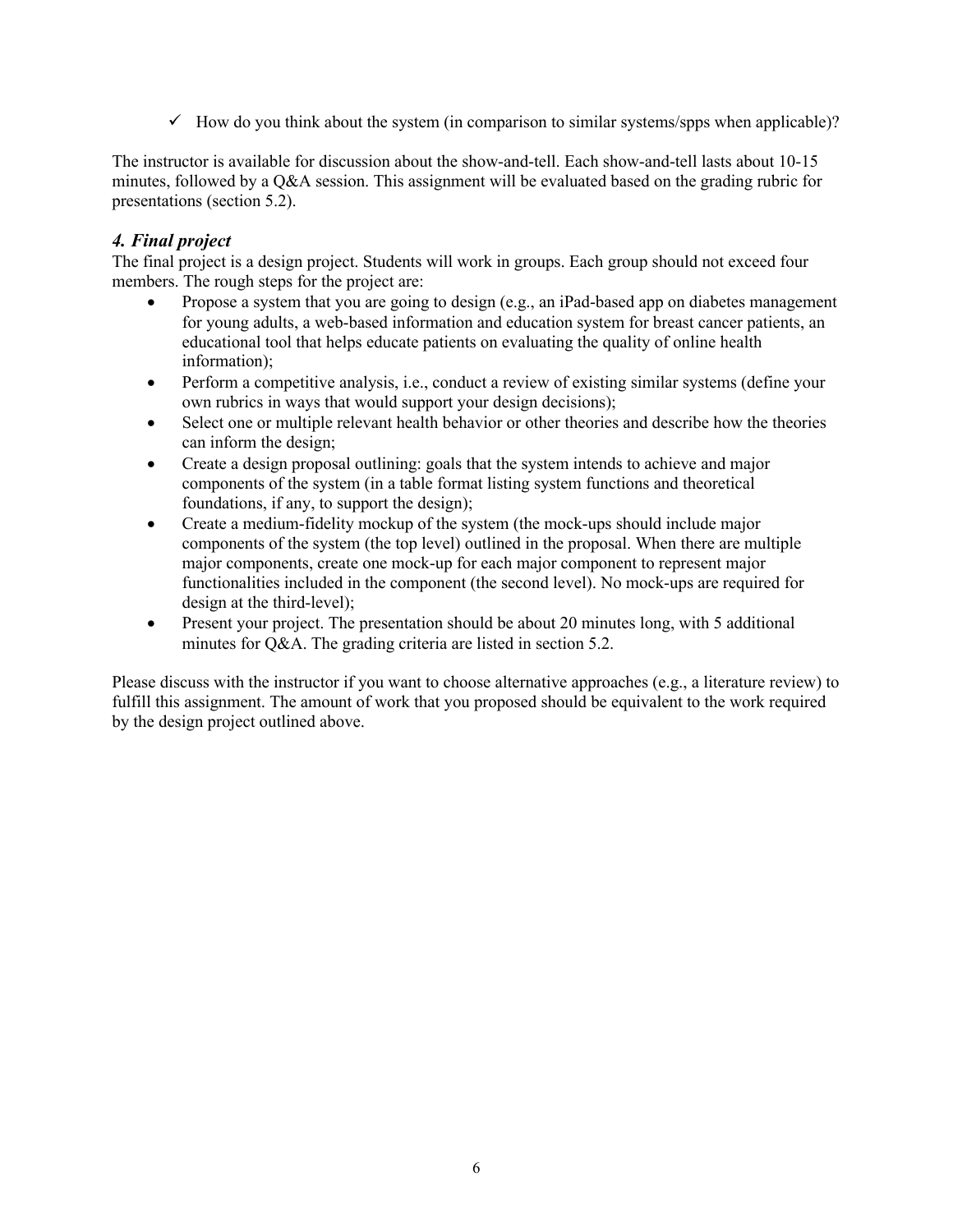$\checkmark$  How do you think about the system (in comparison to similar systems/spps when applicable)?

The instructor is available for discussion about the show-and-tell. Each show-and-tell lasts about 10-15 minutes, followed by a Q&A session. This assignment will be evaluated based on the grading rubric for presentations (section 5.2).

### *4. Final project*

The final project is a design project. Students will work in groups. Each group should not exceed four members. The rough steps for the project are:

- Propose a system that you are going to design (e.g., an iPad-based app on diabetes management for young adults, a web-based information and education system for breast cancer patients, an educational tool that helps educate patients on evaluating the quality of online health information);
- Perform a competitive analysis, i.e., conduct a review of existing similar systems (define your own rubrics in ways that would support your design decisions);
- Select one or multiple relevant health behavior or other theories and describe how the theories can inform the design;
- Create a design proposal outlining: goals that the system intends to achieve and major components of the system (in a table format listing system functions and theoretical foundations, if any, to support the design);
- Create a medium-fidelity mockup of the system (the mock-ups should include major components of the system (the top level) outlined in the proposal. When there are multiple major components, create one mock-up for each major component to represent major functionalities included in the component (the second level). No mock-ups are required for design at the third-level);
- Present your project. The presentation should be about 20 minutes long, with 5 additional minutes for Q&A. The grading criteria are listed in section 5.2.

Please discuss with the instructor if you want to choose alternative approaches (e.g., a literature review) to fulfill this assignment. The amount of work that you proposed should be equivalent to the work required by the design project outlined above.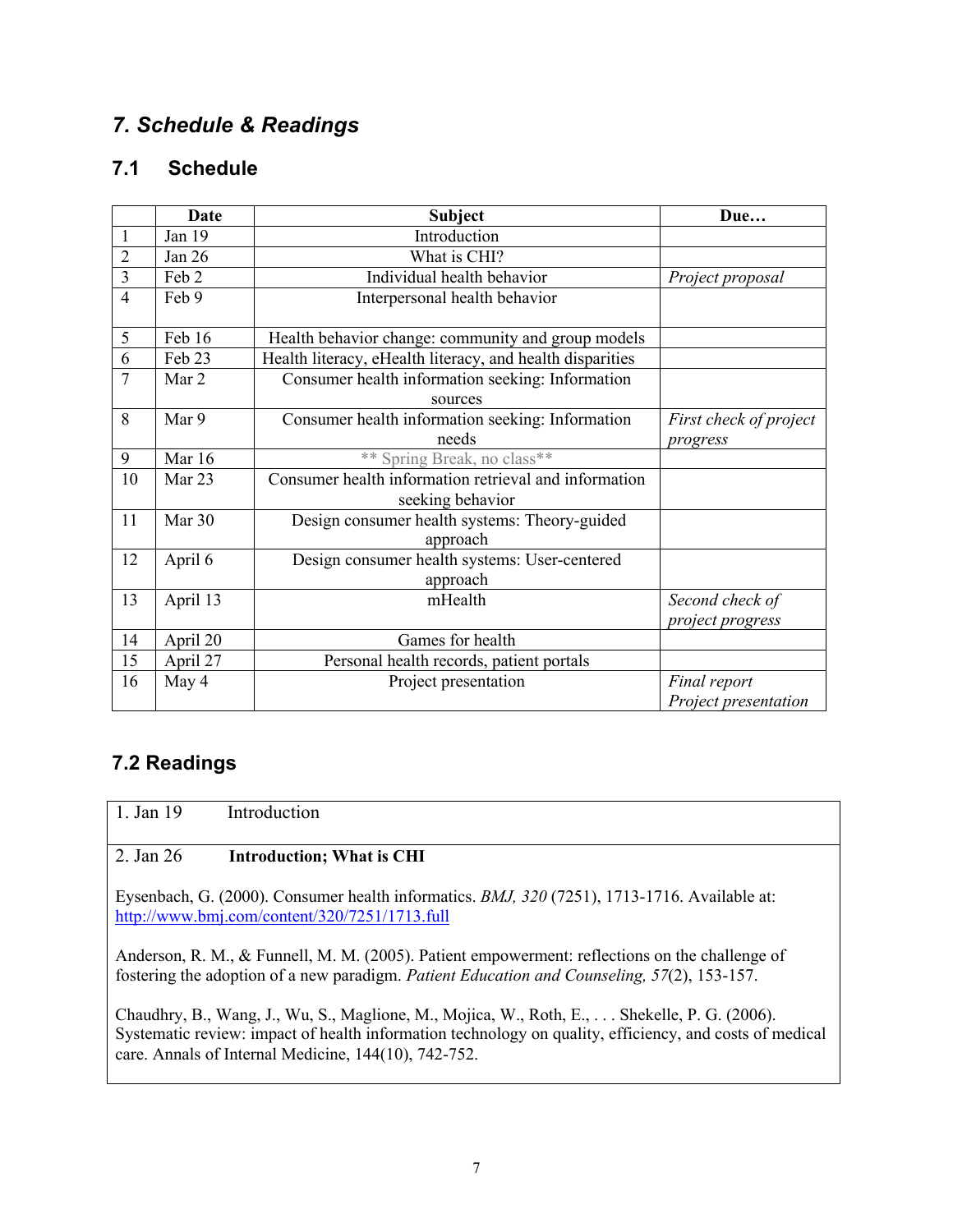# *7. Schedule & Readings*

# **7.1 Schedule**

|                | <b>Date</b> | Subject                                                   | Due                    |
|----------------|-------------|-----------------------------------------------------------|------------------------|
|                | Jan 19      | Introduction                                              |                        |
| $\overline{2}$ | Jan 26      | What is CHI?                                              |                        |
| $\overline{3}$ | Feb 2       | Individual health behavior                                | Project proposal       |
| $\overline{4}$ | Feb 9       | Interpersonal health behavior                             |                        |
| 5              | Feb 16      | Health behavior change: community and group models        |                        |
| $\overline{6}$ | Feb 23      | Health literacy, eHealth literacy, and health disparities |                        |
| $\overline{7}$ | Mar 2       | Consumer health information seeking: Information          |                        |
|                |             | sources                                                   |                        |
| 8              | Mar 9       | Consumer health information seeking: Information          | First check of project |
|                |             | needs                                                     | progress               |
| 9              | Mar 16      | ** Spring Break, no class**                               |                        |
| 10             | Mar 23      | Consumer health information retrieval and information     |                        |
|                |             | seeking behavior                                          |                        |
| 11             | Mar 30      | Design consumer health systems: Theory-guided             |                        |
|                |             | approach                                                  |                        |
| 12             | April 6     | Design consumer health systems: User-centered             |                        |
|                |             | approach                                                  |                        |
| 13             | April 13    | mHealth                                                   | Second check of        |
|                |             |                                                           | project progress       |
| 14             | April 20    | Games for health                                          |                        |
| 15             | April 27    | Personal health records, patient portals                  |                        |
| 16             | May 4       | Project presentation                                      | Final report           |
|                |             |                                                           | Project presentation   |

# **7.2 Readings**

1. Jan 19 Introduction

# 2. Jan 26 **Introduction; What is CHI**

Eysenbach, G. (2000). Consumer health informatics. *BMJ, 320* (7251), 1713-1716. Available at: http://www.bmj.com/content/320/7251/1713.full

Anderson, R. M., & Funnell, M. M. (2005). Patient empowerment: reflections on the challenge of fostering the adoption of a new paradigm. *Patient Education and Counseling, 57*(2), 153-157.

Chaudhry, B., Wang, J., Wu, S., Maglione, M., Mojica, W., Roth, E., . . . Shekelle, P. G. (2006). Systematic review: impact of health information technology on quality, efficiency, and costs of medical care. Annals of Internal Medicine, 144(10), 742-752.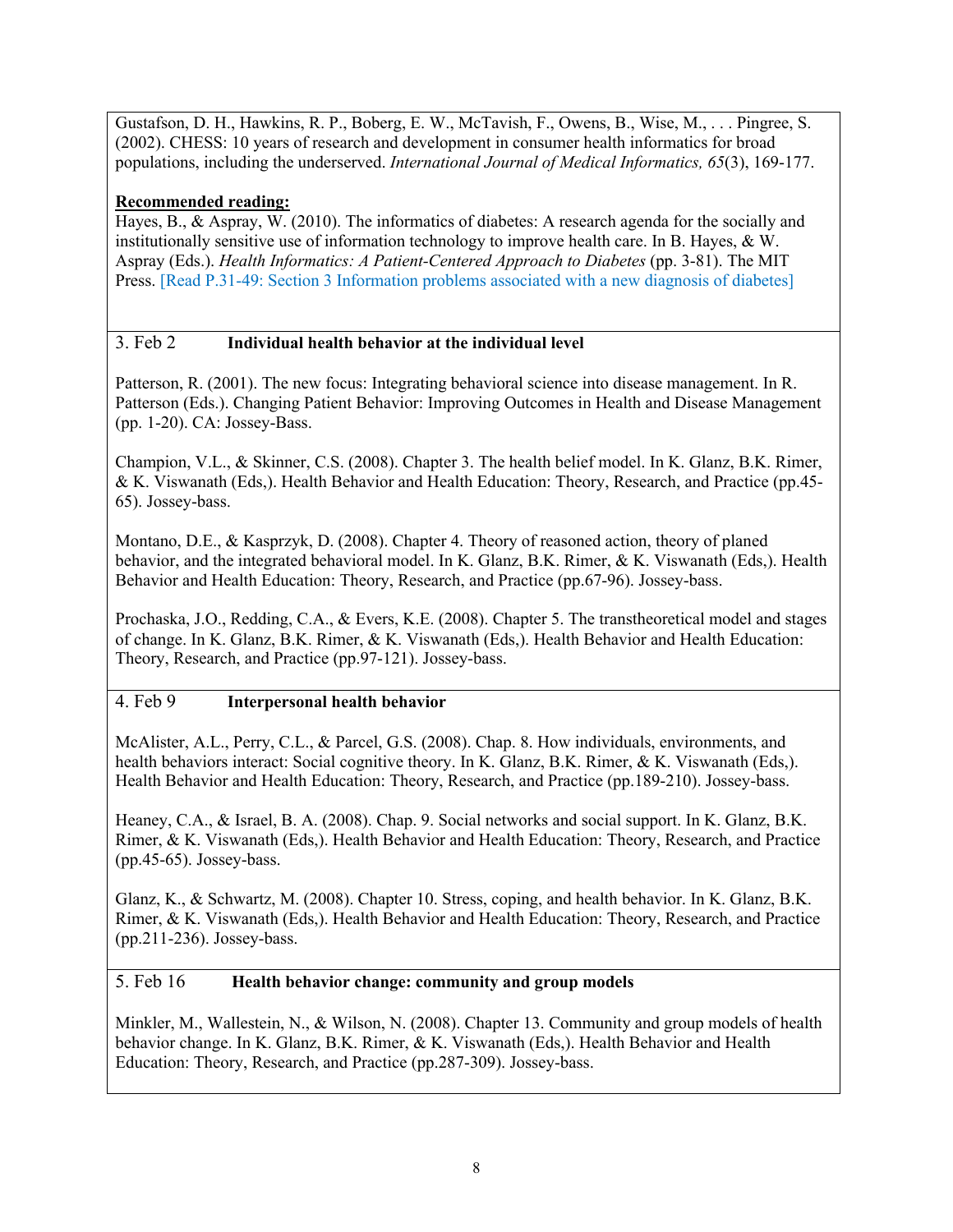Gustafson, D. H., Hawkins, R. P., Boberg, E. W., McTavish, F., Owens, B., Wise, M., . . . Pingree, S. (2002). CHESS: 10 years of research and development in consumer health informatics for broad populations, including the underserved. *International Journal of Medical Informatics, 65*(3), 169-177.

### **Recommended reading:**

Hayes, B., & Aspray, W. (2010). The informatics of diabetes: A research agenda for the socially and institutionally sensitive use of information technology to improve health care. In B. Hayes, & W. Aspray (Eds.). *Health Informatics: A Patient-Centered Approach to Diabetes* (pp. 3-81). The MIT Press. [Read P.31-49: Section 3 Information problems associated with a new diagnosis of diabetes]

### 3. Feb 2 **Individual health behavior at the individual level**

Patterson, R. (2001). The new focus: Integrating behavioral science into disease management. In R. Patterson (Eds.). Changing Patient Behavior: Improving Outcomes in Health and Disease Management (pp. 1-20). CA: Jossey-Bass.

Champion, V.L., & Skinner, C.S. (2008). Chapter 3. The health belief model. In K. Glanz, B.K. Rimer, & K. Viswanath (Eds,). Health Behavior and Health Education: Theory, Research, and Practice (pp.45- 65). Jossey-bass.

Montano, D.E., & Kasprzyk, D. (2008). Chapter 4. Theory of reasoned action, theory of planed behavior, and the integrated behavioral model. In K. Glanz, B.K. Rimer, & K. Viswanath (Eds,). Health Behavior and Health Education: Theory, Research, and Practice (pp.67-96). Jossey-bass.

Prochaska, J.O., Redding, C.A., & Evers, K.E. (2008). Chapter 5. The transtheoretical model and stages of change. In K. Glanz, B.K. Rimer, & K. Viswanath (Eds,). Health Behavior and Health Education: Theory, Research, and Practice (pp.97-121). Jossey-bass.

### 4. Feb 9 **Interpersonal health behavior**

McAlister, A.L., Perry, C.L., & Parcel, G.S. (2008). Chap. 8. How individuals, environments, and health behaviors interact: Social cognitive theory. In K. Glanz, B.K. Rimer, & K. Viswanath (Eds,). Health Behavior and Health Education: Theory, Research, and Practice (pp.189-210). Jossey-bass.

Heaney, C.A., & Israel, B. A. (2008). Chap. 9. Social networks and social support. In K. Glanz, B.K. Rimer, & K. Viswanath (Eds,). Health Behavior and Health Education: Theory, Research, and Practice (pp.45-65). Jossey-bass.

Glanz, K., & Schwartz, M. (2008). Chapter 10. Stress, coping, and health behavior. In K. Glanz, B.K. Rimer, & K. Viswanath (Eds,). Health Behavior and Health Education: Theory, Research, and Practice (pp.211-236). Jossey-bass.

### 5. Feb 16 **Health behavior change: community and group models**

Minkler, M., Wallestein, N., & Wilson, N. (2008). Chapter 13. Community and group models of health behavior change. In K. Glanz, B.K. Rimer, & K. Viswanath (Eds,). Health Behavior and Health Education: Theory, Research, and Practice (pp.287-309). Jossey-bass.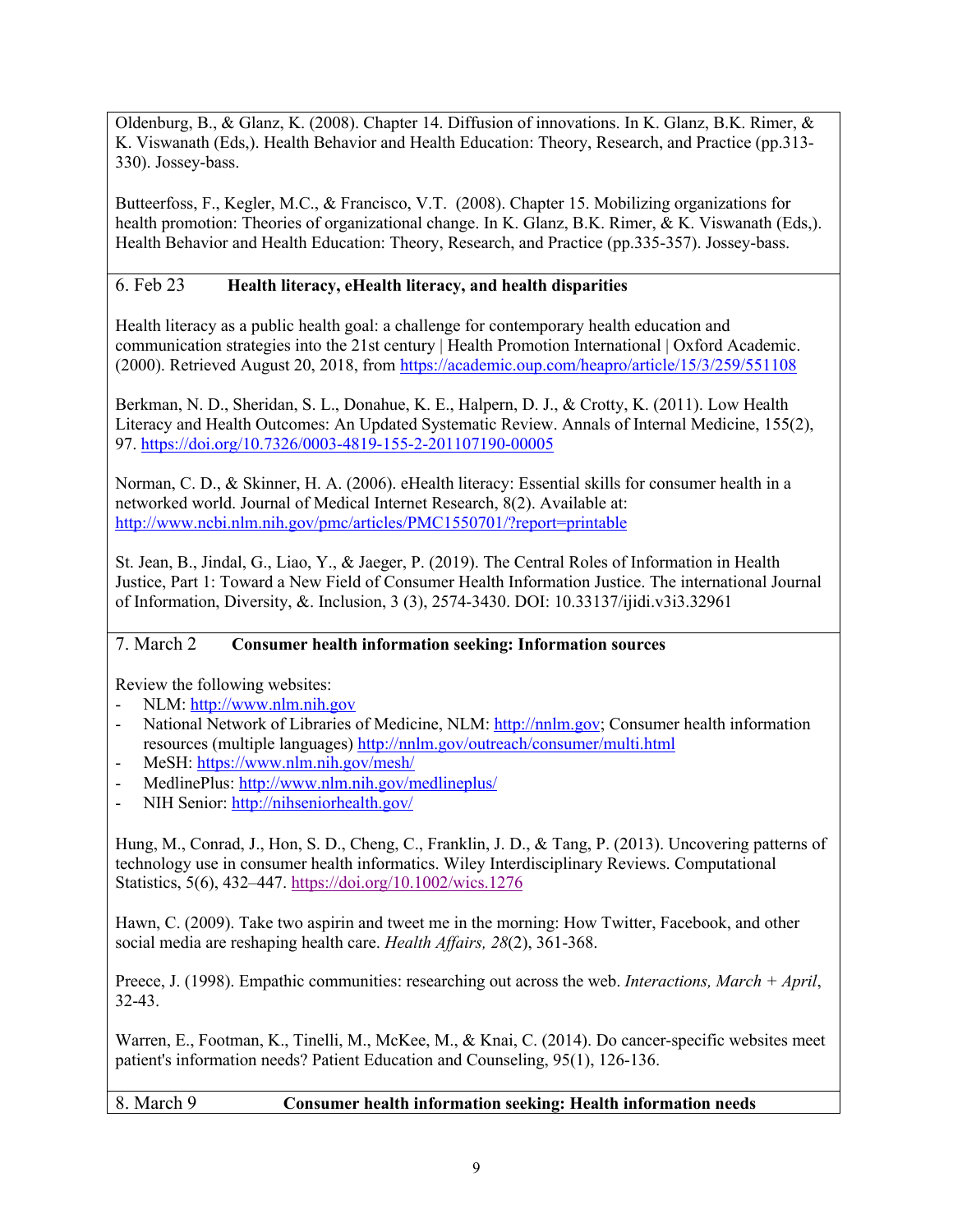Oldenburg, B., & Glanz, K. (2008). Chapter 14. Diffusion of innovations. In K. Glanz, B.K. Rimer, & K. Viswanath (Eds,). Health Behavior and Health Education: Theory, Research, and Practice (pp.313- 330). Jossey-bass.

Butteerfoss, F., Kegler, M.C., & Francisco, V.T. (2008). Chapter 15. Mobilizing organizations for health promotion: Theories of organizational change. In K. Glanz, B.K. Rimer, & K. Viswanath (Eds,). Health Behavior and Health Education: Theory, Research, and Practice (pp.335-357). Jossey-bass.

# 6. Feb 23 **Health literacy, eHealth literacy, and health disparities**

Health literacy as a public health goal: a challenge for contemporary health education and communication strategies into the 21st century | Health Promotion International | Oxford Academic. (2000). Retrieved August 20, 2018, from https://academic.oup.com/heapro/article/15/3/259/551108

Berkman, N. D., Sheridan, S. L., Donahue, K. E., Halpern, D. J., & Crotty, K. (2011). Low Health Literacy and Health Outcomes: An Updated Systematic Review. Annals of Internal Medicine, 155(2), 97. https://doi.org/10.7326/0003-4819-155-2-201107190-00005

Norman, C. D., & Skinner, H. A. (2006). eHealth literacy: Essential skills for consumer health in a networked world. Journal of Medical Internet Research, 8(2). Available at: http://www.ncbi.nlm.nih.gov/pmc/articles/PMC1550701/?report=printable

St. Jean, B., Jindal, G., Liao, Y., & Jaeger, P. (2019). The Central Roles of Information in Health Justice, Part 1: Toward a New Field of Consumer Health Information Justice. The international Journal of Information, Diversity, &. Inclusion, 3 (3), 2574-3430. DOI: 10.33137/ijidi.v3i3.32961

## 7. March 2 **Consumer health information seeking: Information sources**

Review the following websites:

- NLM: http://www.nlm.nih.gov
- National Network of Libraries of Medicine, NLM: http://nnlm.gov; Consumer health information resources (multiple languages) http://nnlm.gov/outreach/consumer/multi.html
- MeSH: https://www.nlm.nih.gov/mesh/
- MedlinePlus: http://www.nlm.nih.gov/medlineplus/
- NIH Senior: http://nihseniorhealth.gov/

Hung, M., Conrad, J., Hon, S. D., Cheng, C., Franklin, J. D., & Tang, P. (2013). Uncovering patterns of technology use in consumer health informatics. Wiley Interdisciplinary Reviews. Computational Statistics, 5(6), 432–447. https://doi.org/10.1002/wics.1276

Hawn, C. (2009). Take two aspirin and tweet me in the morning: How Twitter, Facebook, and other social media are reshaping health care. *Health Affairs, 28*(2), 361-368.

Preece, J. (1998). Empathic communities: researching out across the web. *Interactions, March + April*, 32-43.

Warren, E., Footman, K., Tinelli, M., McKee, M., & Knai, C. (2014). Do cancer-specific websites meet patient's information needs? Patient Education and Counseling, 95(1), 126-136.

8. March 9 **Consumer health information seeking: Health information needs**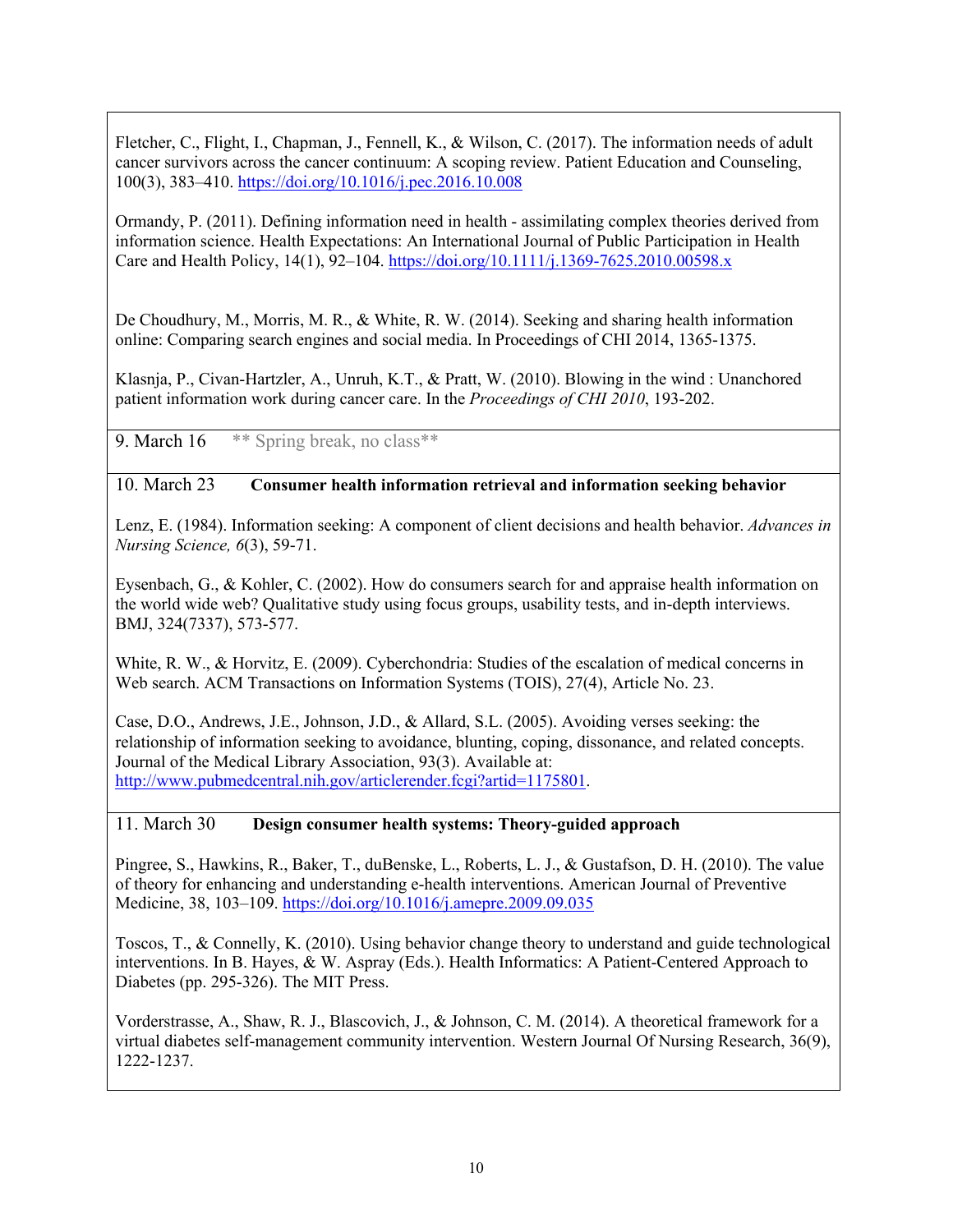Fletcher, C., Flight, I., Chapman, J., Fennell, K., & Wilson, C. (2017). The information needs of adult cancer survivors across the cancer continuum: A scoping review. Patient Education and Counseling, 100(3), 383–410. https://doi.org/10.1016/j.pec.2016.10.008

Ormandy, P. (2011). Defining information need in health - assimilating complex theories derived from information science. Health Expectations: An International Journal of Public Participation in Health Care and Health Policy, 14(1), 92–104. https://doi.org/10.1111/j.1369-7625.2010.00598.x

De Choudhury, M., Morris, M. R., & White, R. W. (2014). Seeking and sharing health information online: Comparing search engines and social media. In Proceedings of CHI 2014, 1365-1375.

Klasnja, P., Civan-Hartzler, A., Unruh, K.T., & Pratt, W. (2010). Blowing in the wind : Unanchored patient information work during cancer care. In the *Proceedings of CHI 2010*, 193-202.

9. March 16 \*\* Spring break, no class \*\*

#### 10. March 23 **Consumer health information retrieval and information seeking behavior**

Lenz, E. (1984). Information seeking: A component of client decisions and health behavior. *Advances in Nursing Science, 6*(3), 59-71.

Eysenbach, G., & Kohler, C. (2002). How do consumers search for and appraise health information on the world wide web? Qualitative study using focus groups, usability tests, and in-depth interviews. BMJ, 324(7337), 573-577.

White, R. W., & Horvitz, E. (2009). Cyberchondria: Studies of the escalation of medical concerns in Web search. ACM Transactions on Information Systems (TOIS), 27(4), Article No. 23.

Case, D.O., Andrews, J.E., Johnson, J.D., & Allard, S.L. (2005). Avoiding verses seeking: the relationship of information seeking to avoidance, blunting, coping, dissonance, and related concepts. Journal of the Medical Library Association, 93(3). Available at: http://www.pubmedcentral.nih.gov/articlerender.fcgi?artid=1175801.

#### 11. March 30 **Design consumer health systems: Theory-guided approach**

Pingree, S., Hawkins, R., Baker, T., duBenske, L., Roberts, L. J., & Gustafson, D. H. (2010). The value of theory for enhancing and understanding e-health interventions. American Journal of Preventive Medicine, 38, 103–109. https://doi.org/10.1016/j.amepre.2009.09.035

Toscos, T., & Connelly, K. (2010). Using behavior change theory to understand and guide technological interventions. In B. Hayes, & W. Aspray (Eds.). Health Informatics: A Patient-Centered Approach to Diabetes (pp. 295-326). The MIT Press.

Vorderstrasse, A., Shaw, R. J., Blascovich, J., & Johnson, C. M. (2014). A theoretical framework for a virtual diabetes self-management community intervention. Western Journal Of Nursing Research, 36(9), 1222-1237.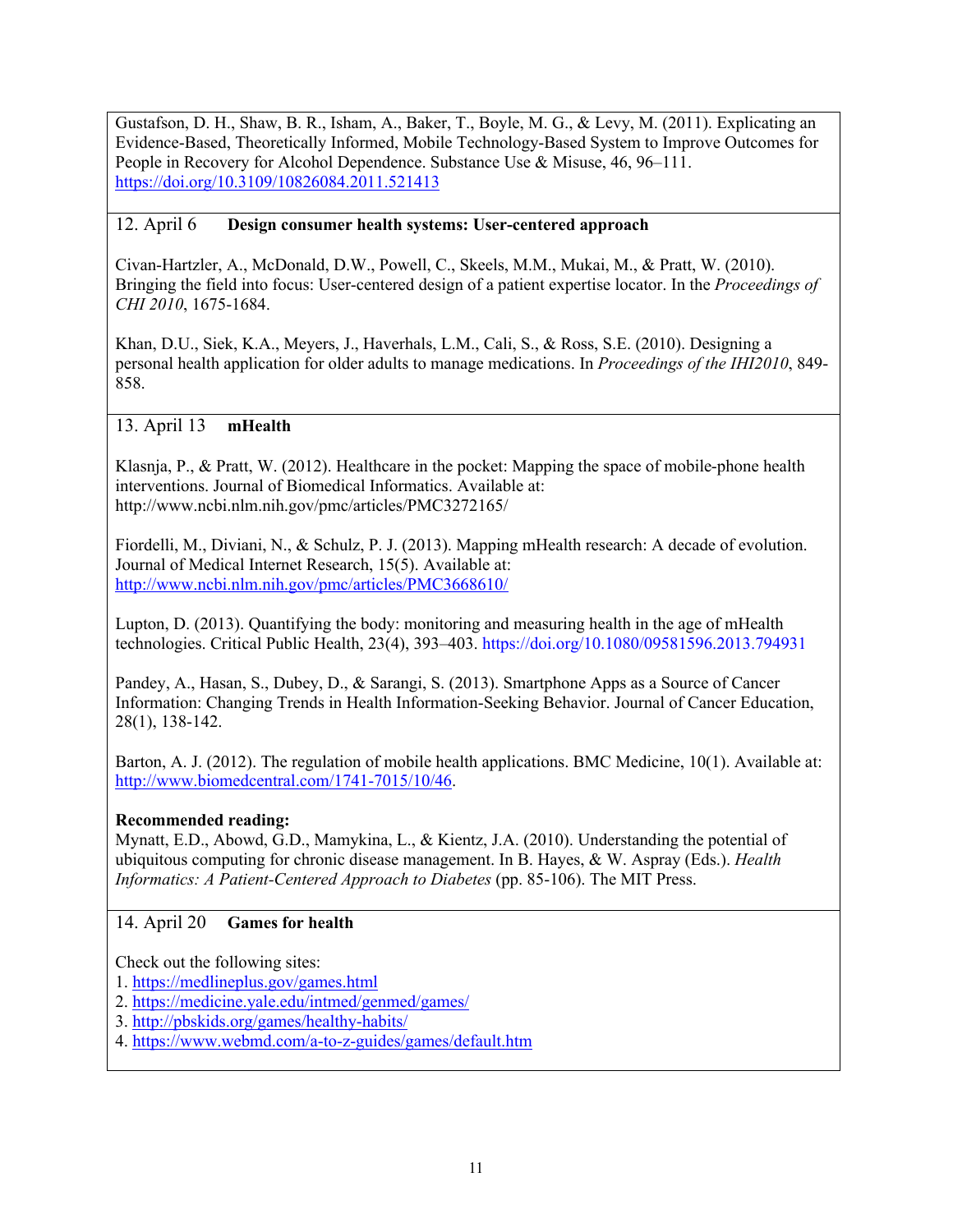Gustafson, D. H., Shaw, B. R., Isham, A., Baker, T., Boyle, M. G., & Levy, M. (2011). Explicating an Evidence-Based, Theoretically Informed, Mobile Technology-Based System to Improve Outcomes for People in Recovery for Alcohol Dependence. Substance Use & Misuse, 46, 96–111. https://doi.org/10.3109/10826084.2011.521413

### 12. April 6 **Design consumer health systems: User-centered approach**

Civan-Hartzler, A., McDonald, D.W., Powell, C., Skeels, M.M., Mukai, M., & Pratt, W. (2010). Bringing the field into focus: User-centered design of a patient expertise locator. In the *Proceedings of CHI 2010*, 1675-1684.

Khan, D.U., Siek, K.A., Meyers, J., Haverhals, L.M., Cali, S., & Ross, S.E. (2010). Designing a personal health application for older adults to manage medications. In *Proceedings of the IHI2010*, 849- 858.

## 13. April 13 **mHealth**

Klasnja, P., & Pratt, W. (2012). Healthcare in the pocket: Mapping the space of mobile-phone health interventions. Journal of Biomedical Informatics. Available at: http://www.ncbi.nlm.nih.gov/pmc/articles/PMC3272165/

Fiordelli, M., Diviani, N., & Schulz, P. J. (2013). Mapping mHealth research: A decade of evolution. Journal of Medical Internet Research, 15(5). Available at: http://www.ncbi.nlm.nih.gov/pmc/articles/PMC3668610/

Lupton, D. (2013). Quantifying the body: monitoring and measuring health in the age of mHealth technologies. Critical Public Health, 23(4), 393–403. https://doi.org/10.1080/09581596.2013.794931

Pandey, A., Hasan, S., Dubey, D., & Sarangi, S. (2013). Smartphone Apps as a Source of Cancer Information: Changing Trends in Health Information-Seeking Behavior. Journal of Cancer Education, 28(1), 138-142.

Barton, A. J. (2012). The regulation of mobile health applications. BMC Medicine, 10(1). Available at: http://www.biomedcentral.com/1741-7015/10/46.

### **Recommended reading:**

Mynatt, E.D., Abowd, G.D., Mamykina, L., & Kientz, J.A. (2010). Understanding the potential of ubiquitous computing for chronic disease management. In B. Hayes, & W. Aspray (Eds.). *Health Informatics: A Patient-Centered Approach to Diabetes* (pp. 85-106). The MIT Press.

### 14. April 20 **Games for health**

Check out the following sites:

- 1. https://medlineplus.gov/games.html
- 2. https://medicine.yale.edu/intmed/genmed/games/
- 3. http://pbskids.org/games/healthy-habits/
- 4. https://www.webmd.com/a-to-z-guides/games/default.htm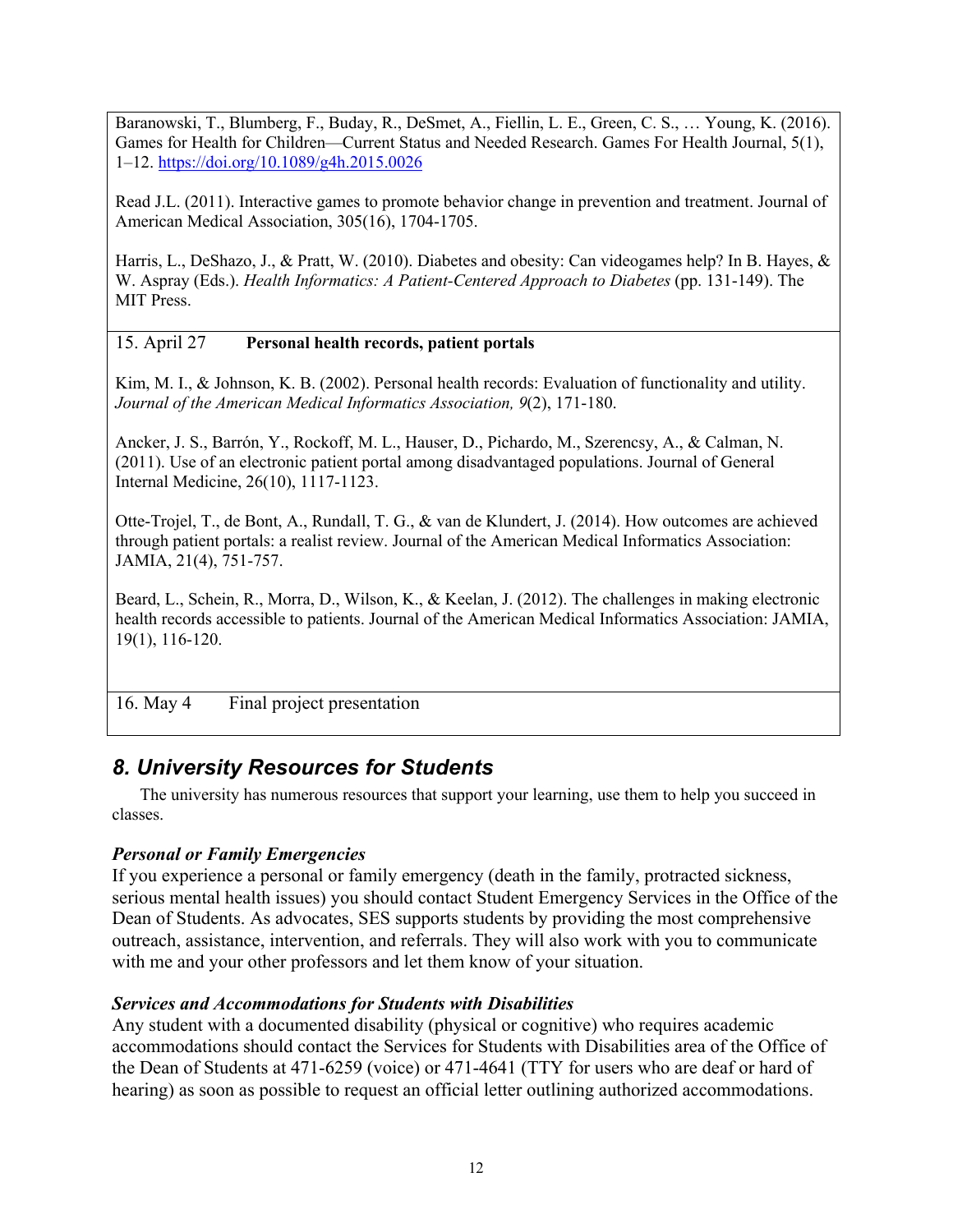Baranowski, T., Blumberg, F., Buday, R., DeSmet, A., Fiellin, L. E., Green, C. S., … Young, K. (2016). Games for Health for Children—Current Status and Needed Research. Games For Health Journal, 5(1), 1–12. https://doi.org/10.1089/g4h.2015.0026

Read J.L. (2011). Interactive games to promote behavior change in prevention and treatment. Journal of American Medical Association, 305(16), 1704-1705.

Harris, L., DeShazo, J., & Pratt, W. (2010). Diabetes and obesity: Can videogames help? In B. Hayes, & W. Aspray (Eds.). *Health Informatics: A Patient-Centered Approach to Diabetes* (pp. 131-149). The MIT Press.

### 15. April 27 **Personal health records, patient portals**

Kim, M. I., & Johnson, K. B. (2002). Personal health records: Evaluation of functionality and utility. *Journal of the American Medical Informatics Association, 9*(2), 171-180.

Ancker, J. S., Barrón, Y., Rockoff, M. L., Hauser, D., Pichardo, M., Szerencsy, A., & Calman, N. (2011). Use of an electronic patient portal among disadvantaged populations. Journal of General Internal Medicine, 26(10), 1117-1123.

Otte-Trojel, T., de Bont, A., Rundall, T. G., & van de Klundert, J. (2014). How outcomes are achieved through patient portals: a realist review. Journal of the American Medical Informatics Association: JAMIA, 21(4), 751-757.

Beard, L., Schein, R., Morra, D., Wilson, K., & Keelan, J. (2012). The challenges in making electronic health records accessible to patients. Journal of the American Medical Informatics Association: JAMIA, 19(1), 116-120.

16. May 4 Final project presentation

# *8. University Resources for Students*

The university has numerous resources that support your learning, use them to help you succeed in classes.

### *Personal or Family Emergencies*

If you experience a personal or family emergency (death in the family, protracted sickness, serious mental health issues) you should contact Student Emergency Services in the Office of the Dean of Students. As advocates, SES supports students by providing the most comprehensive outreach, assistance, intervention, and referrals. They will also work with you to communicate with me and your other professors and let them know of your situation.

### *Services and Accommodations for Students with Disabilities*

Any student with a documented disability (physical or cognitive) who requires academic accommodations should contact the Services for Students with Disabilities area of the Office of the Dean of Students at 471-6259 (voice) or 471-4641 (TTY for users who are deaf or hard of hearing) as soon as possible to request an official letter outlining authorized accommodations.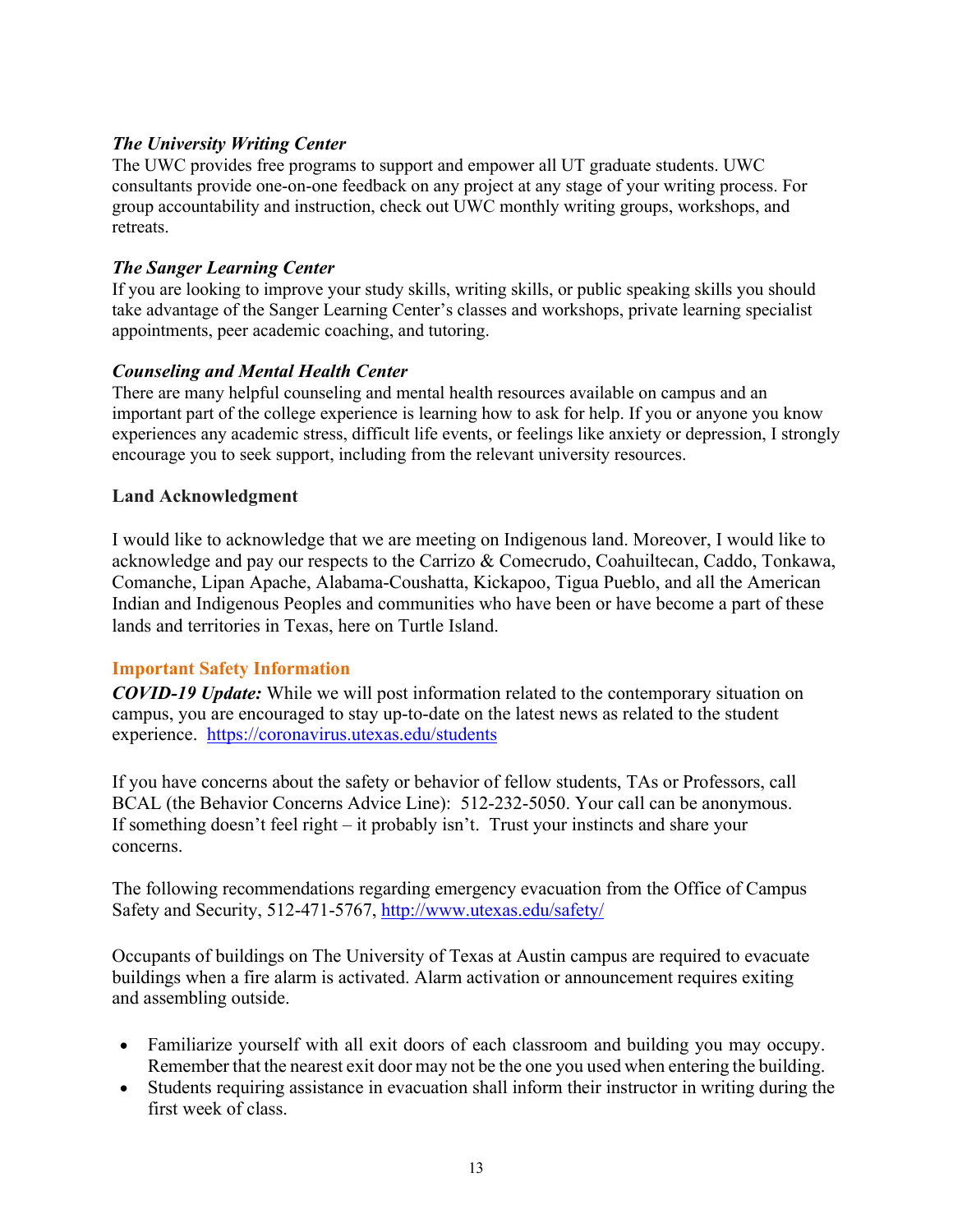## *The University Writing Center*

The UWC provides free programs to support and empower all UT graduate students. UWC consultants provide one-on-one feedback on any project at any stage of your writing process. For group accountability and instruction, check out UWC monthly writing groups, workshops, and retreats.

### *The Sanger Learning Center*

If you are looking to improve your study skills, writing skills, or public speaking skills you should take advantage of the Sanger Learning Center's classes and workshops, private learning specialist appointments, peer academic coaching, and tutoring.

## *Counseling and Mental Health Center*

There are many helpful counseling and mental health resources available on campus and an important part of the college experience is learning how to ask for help. If you or anyone you know experiences any academic stress, difficult life events, or feelings like anxiety or depression, I strongly encourage you to seek support, including from the relevant university resources.

### **Land Acknowledgment**

I would like to acknowledge that we are meeting on Indigenous land. Moreover, I would like to acknowledge and pay our respects to the Carrizo & Comecrudo, Coahuiltecan, Caddo, Tonkawa, Comanche, Lipan Apache, Alabama-Coushatta, Kickapoo, Tigua Pueblo, and all the American Indian and Indigenous Peoples and communities who have been or have become a part of these lands and territories in Texas, here on Turtle Island.

### **Important Safety Information**

*COVID-19 Update:* While we will post information related to the contemporary situation on campus, you are encouraged to stay up-to-date on the latest news as related to the student experience. https://coronavirus.utexas.edu/students

If you have concerns about the safety or behavior of fellow students, TAs or Professors, call BCAL (the Behavior Concerns Advice Line): 512-232-5050. Your call can be anonymous. If something doesn't feel right – it probably isn't. Trust your instincts and share your concerns.

The following recommendations regarding emergency evacuation from the Office of Campus Safety and Security, 512-471-5767, http://www.utexas.edu/safety/

Occupants of buildings on The University of Texas at Austin campus are required to evacuate buildings when a fire alarm is activated. Alarm activation or announcement requires exiting and assembling outside.

- Familiarize yourself with all exit doors of each classroom and building you may occupy. Remember that the nearest exit door may not be the one you used when entering the building.
- Students requiring assistance in evacuation shall inform their instructor in writing during the first week of class.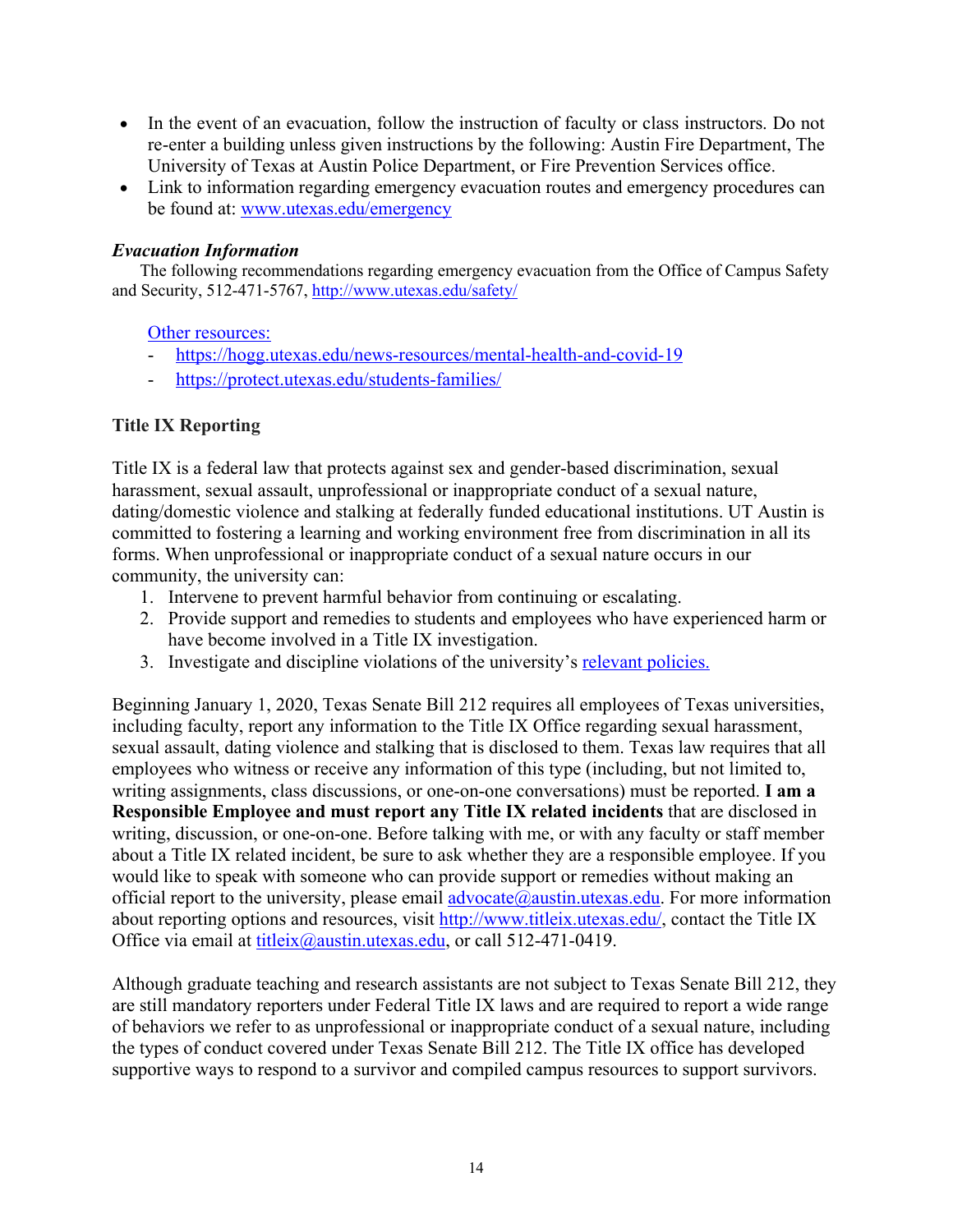- In the event of an evacuation, follow the instruction of faculty or class instructors. Do not re-enter a building unless given instructions by the following: Austin Fire Department, The University of Texas at Austin Police Department, or Fire Prevention Services office.
- Link to information regarding emergency evacuation routes and emergency procedures can be found at: www.utexas.edu/emergency

## *Evacuation Information*

The following recommendations regarding emergency evacuation from the Office of Campus Safety and Security, 512-471-5767, http://www.utexas.edu/safety/

Other resources:

- https://hogg.utexas.edu/news-resources/mental-health-and-covid-19
- https://protect.utexas.edu/students-families/

# **Title IX Reporting**

Title IX is a federal law that protects against sex and gender-based discrimination, sexual harassment, sexual assault, unprofessional or inappropriate conduct of a sexual nature, dating/domestic violence and stalking at federally funded educational institutions. UT Austin is committed to fostering a learning and working environment free from discrimination in all its forms. When unprofessional or inappropriate conduct of a sexual nature occurs in our community, the university can:

- 1. Intervene to prevent harmful behavior from continuing or escalating.
- 2. Provide support and remedies to students and employees who have experienced harm or have become involved in a Title IX investigation.
- 3. Investigate and discipline violations of the university's relevant policies.

Beginning January 1, 2020, Texas Senate Bill 212 requires all employees of Texas universities, including faculty, report any information to the Title IX Office regarding sexual harassment, sexual assault, dating violence and stalking that is disclosed to them. Texas law requires that all employees who witness or receive any information of this type (including, but not limited to, writing assignments, class discussions, or one-on-one conversations) must be reported. **I am a Responsible Employee and must report any Title IX related incidents** that are disclosed in writing, discussion, or one-on-one. Before talking with me, or with any faculty or staff member about a Title IX related incident, be sure to ask whether they are a responsible employee. If you would like to speak with someone who can provide support or remedies without making an official report to the university, please email  $\frac{advocate(@austin.utexas.edu. For more information)$ about reporting options and resources, visit http://www.titleix.utexas.edu/, contact the Title IX Office via email at titleix@austin.utexas.edu, or call 512-471-0419.

Although graduate teaching and research assistants are not subject to Texas Senate Bill 212, they are still mandatory reporters under Federal Title IX laws and are required to report a wide range of behaviors we refer to as unprofessional or inappropriate conduct of a sexual nature, including the types of conduct covered under Texas Senate Bill 212. The Title IX office has developed supportive ways to respond to a survivor and compiled campus resources to support survivors.